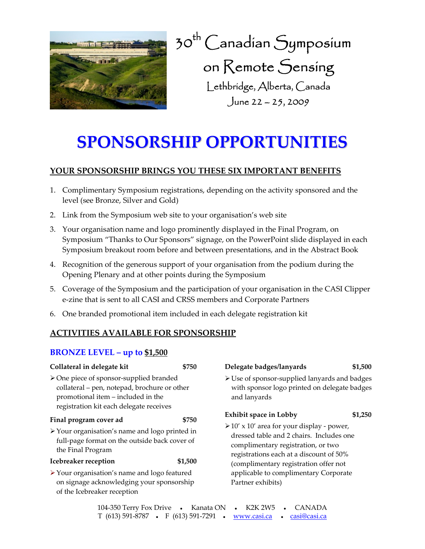

30th Canadian Symposium on Remote Sensing Lethbridge, Alberta, Canada June 22 – 25, 2009

# **SPONSORSHIP OPPORTUNITIES**

# **YOUR SPONSORSHIP BRINGS YOU THESE SIX IMPORTANT BENEFITS**

- 1. Complimentary Symposium registrations, depending on the activity sponsored and the level (see Bronze, Silver and Gold)
- 2. Link from the Symposium web site to your organisation's web site
- 3. Your organisation name and logo prominently displayed in the Final Program, on Symposium "Thanks to Our Sponsors" signage, on the PowerPoint slide displayed in each Symposium breakout room before and between presentations, and in the Abstract Book
- 4. Recognition of the generous support of your organisation from the podium during the Opening Plenary and at other points during the Symposium
- 5. Coverage of the Symposium and the participation of your organisation in the CASI Clipper e‐zine that is sent to all CASI and CRSS members and Corporate Partners
- 6. One branded promotional item included in each delegate registration kit

# **ACTIVITIES AVAILABLE FOR SPONSORSHIP**

# **BRONZE LEVEL – up to \$1,500**

| Collateral in delegate kit                                                                                                                                                              | \$750   | Delegate badges/lanyards                                                                                                                                                     | \$1,500 |  |  |  |
|-----------------------------------------------------------------------------------------------------------------------------------------------------------------------------------------|---------|------------------------------------------------------------------------------------------------------------------------------------------------------------------------------|---------|--|--|--|
| $\triangleright$ One piece of sponsor-supplied branded<br>collateral - pen, notepad, brochure or other<br>promotional item - included in the<br>registration kit each delegate receives |         | > Use of sponsor-supplied lanyards and badges<br>with sponsor logo printed on delegate badges<br>and lanyards                                                                |         |  |  |  |
| Final program cover ad                                                                                                                                                                  | \$750   | <b>Exhibit space in Lobby</b>                                                                                                                                                | \$1,250 |  |  |  |
| > Your organisation's name and logo printed in<br>full-page format on the outside back cover of<br>the Final Program                                                                    |         | $\geq 10'$ x 10' area for your display - power,<br>dressed table and 2 chairs. Includes one<br>complimentary registration, or two<br>registrations each at a discount of 50% |         |  |  |  |
| Icebreaker reception                                                                                                                                                                    | \$1,500 | (complimentary registration offer not                                                                                                                                        |         |  |  |  |
| > Your organisation's name and logo featured<br>on signage acknowledging your sponsorship<br>of the Icebreaker reception                                                                |         | applicable to complimentary Corporate<br>Partner exhibits)                                                                                                                   |         |  |  |  |

| 104-350 Terry Fox Drive •                                                      |  | Kanata ON |  | K2K 2W5 • CANADA |
|--------------------------------------------------------------------------------|--|-----------|--|------------------|
| T (613) 591-8787 • F (613) 591-7291 • <u>www.casi.ca</u> • <u>casi@casi.ca</u> |  |           |  |                  |